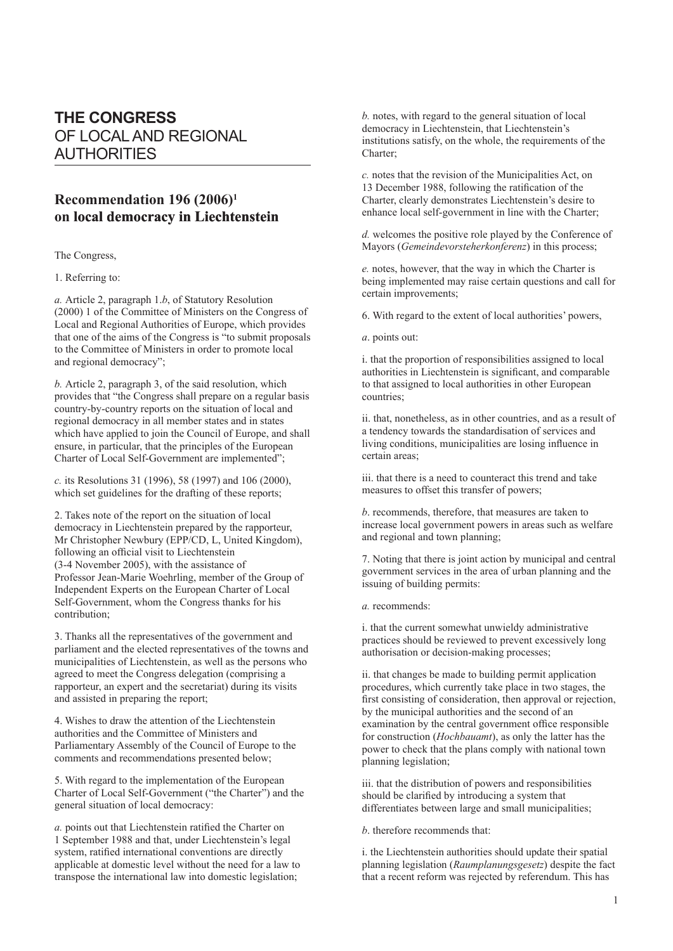## **THE CONGRESS** OF LOCAL AND REGIONAL AUTHORITIES

## **Recommendation 196 (2006)1** on local democracy in Liechtenstein

The Congress,

1. Referring to:

*a.* Article 2, paragraph 1.*b*, of Statutory Resolution (2000) 1 of the Committee of Ministers on the Congress of Local and Regional Authorities of Europe, which provides that one of the aims of the Congress is "to submit proposals to the Committee of Ministers in order to promote local and regional democracy";

*b.* Article 2, paragraph 3, of the said resolution, which provides that "the Congress shall prepare on a regular basis country-by-country reports on the situation of local and regional democracy in all member states and in states which have applied to join the Council of Europe, and shall ensure, in particular, that the principles of the European Charter of Local Self-Government are implemented";

*c.* its Resolutions 31 (1996), 58 (1997) and 106 (2000), which set guidelines for the drafting of these reports;

2. Takes note of the report on the situation of local democracy in Liechtenstein prepared by the rapporteur, Mr Christopher Newbury (EPP/CD, L, United Kingdom), following an official visit to Liechtenstein (3-4 November 2005), with the assistance of Professor Jean-Marie Woehrling, member of the Group of Independent Experts on the European Charter of Local Self-Government, whom the Congress thanks for his contribution;

3. Thanks all the representatives of the government and parliament and the elected representatives of the towns and municipalities of Liechtenstein, as well as the persons who agreed to meet the Congress delegation (comprising a rapporteur, an expert and the secretariat) during its visits and assisted in preparing the report;

4. Wishes to draw the attention of the Liechtenstein authorities and the Committee of Ministers and Parliamentary Assembly of the Council of Europe to the comments and recommendations presented below;

5. With regard to the implementation of the European Charter of Local Self-Government ("the Charter") and the general situation of local democracy:

*a.* points out that Liechtenstein ratified the Charter on 1 September 1988 and that, under Liechtenstein's legal system, ratified international conventions are directly applicable at domestic level without the need for a law to transpose the international law into domestic legislation;

*b.* notes, with regard to the general situation of local democracy in Liechtenstein, that Liechtenstein's institutions satisfy, on the whole, the requirements of the Charter;

*c.* notes that the revision of the Municipalities Act, on 13 December 1988, following the ratification of the Charter, clearly demonstrates Liechtenstein's desire to enhance local self-government in line with the Charter;

*d.* welcomes the positive role played by the Conference of Mayors (*Gemeindevorsteherkonferenz*) in this process;

*e.* notes, however, that the way in which the Charter is being implemented may raise certain questions and call for certain improvements;

6. With regard to the extent of local authorities' powers,

*a*. points out:

i. that the proportion of responsibilities assigned to local authorities in Liechtenstein is significant, and comparable to that assigned to local authorities in other European countries;

ii. that, nonetheless, as in other countries, and as a result of a tendency towards the standardisation of services and living conditions, municipalities are losing influence in certain areas;

iii. that there is a need to counteract this trend and take measures to offset this transfer of powers;

*b*. recommends, therefore, that measures are taken to increase local government powers in areas such as welfare and regional and town planning;

7. Noting that there is joint action by municipal and central government services in the area of urban planning and the issuing of building permits:

*a.* recommends:

i. that the current somewhat unwieldy administrative practices should be reviewed to prevent excessively long authorisation or decision-making processes;

ii. that changes be made to building permit application procedures, which currently take place in two stages, the first consisting of consideration, then approval or rejection, by the municipal authorities and the second of an examination by the central government office responsible for construction (*Hochbauamt*), as only the latter has the power to check that the plans comply with national town planning legislation;

iii. that the distribution of powers and responsibilities should be clarified by introducing a system that differentiates between large and small municipalities;

*b*. therefore recommends that:

i. the Liechtenstein authorities should update their spatial planning legislation (*Raumplanungsgesetz*) despite the fact that a recent reform was rejected by referendum. This has